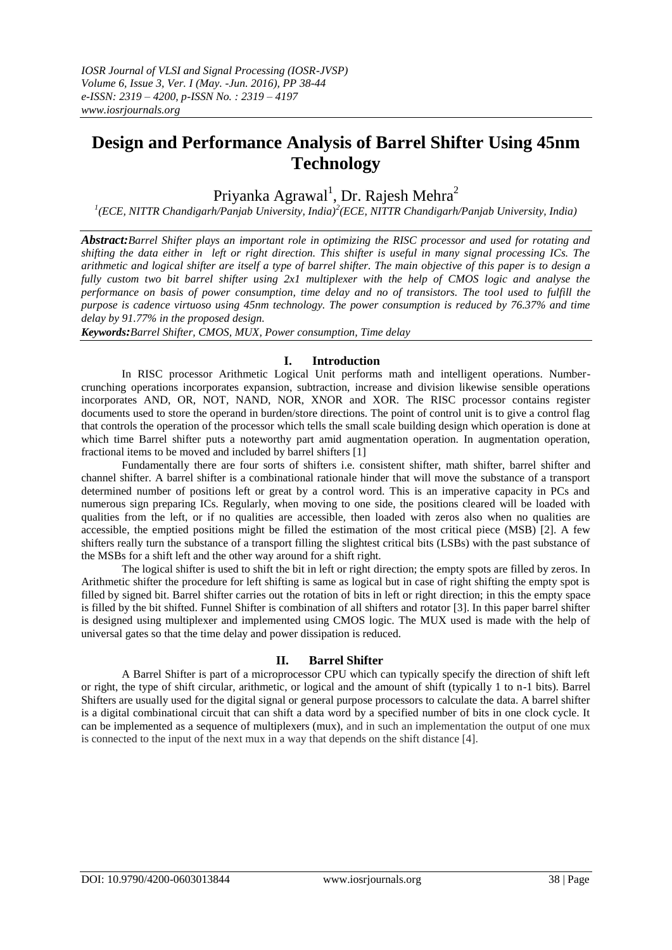# **Design and Performance Analysis of Barrel Shifter Using 45nm Technology**

Priyanka Agrawal<sup>1</sup>, Dr. Rajesh Mehra<sup>2</sup>

*1 (ECE, NITTR Chandigarh/Panjab University, India)<sup>2</sup> (ECE, NITTR Chandigarh/Panjab University, India)*

*Abstract:Barrel Shifter plays an important role in optimizing the RISC processor and used for rotating and shifting the data either in left or right direction. This shifter is useful in many signal processing ICs. The arithmetic and logical shifter are itself a type of barrel shifter. The main objective of this paper is to design a fully custom two bit barrel shifter using 2x1 multiplexer with the help of CMOS logic and analyse the performance on basis of power consumption, time delay and no of transistors. The tool used to fulfill the purpose is cadence virtuoso using 45nm technology. The power consumption is reduced by 76.37% and time delay by 91.77% in the proposed design.* 

*Keywords:Barrel Shifter, CMOS, MUX, Power consumption, Time delay*

#### **I. Introduction**

In RISC processor Arithmetic Logical Unit performs math and intelligent operations. Numbercrunching operations incorporates expansion, subtraction, increase and division likewise sensible operations incorporates AND, OR, NOT, NAND, NOR, XNOR and XOR. The RISC processor contains register documents used to store the operand in burden/store directions. The point of control unit is to give a control flag that controls the operation of the processor which tells the small scale building design which operation is done at which time Barrel shifter puts a noteworthy part amid augmentation operation. In augmentation operation, fractional items to be moved and included by barrel shifters [1]

Fundamentally there are four sorts of shifters i.e. consistent shifter, math shifter, barrel shifter and channel shifter. A barrel shifter is a combinational rationale hinder that will move the substance of a transport determined number of positions left or great by a control word. This is an imperative capacity in PCs and numerous sign preparing ICs. Regularly, when moving to one side, the positions cleared will be loaded with qualities from the left, or if no qualities are accessible, then loaded with zeros also when no qualities are accessible, the emptied positions might be filled the estimation of the most critical piece (MSB) [2]. A few shifters really turn the substance of a transport filling the slightest critical bits (LSBs) with the past substance of the MSBs for a shift left and the other way around for a shift right.

The logical shifter is used to shift the bit in left or right direction; the empty spots are filled by zeros. In Arithmetic shifter the procedure for left shifting is same as logical but in case of right shifting the empty spot is filled by signed bit. Barrel shifter carries out the rotation of bits in left or right direction; in this the empty space is filled by the bit shifted. Funnel Shifter is combination of all shifters and rotator [3]. In this paper barrel shifter is designed using multiplexer and implemented using CMOS logic. The MUX used is made with the help of universal gates so that the time delay and power dissipation is reduced.

## **II. Barrel Shifter**

A Barrel Shifter is part of a microprocessor CPU which can typically specify the direction of shift left or right, the type of shift circular, arithmetic, or logical and the amount of shift (typically 1 to n-1 bits). Barrel Shifters are usually used for the digital signal or general purpose processors to calculate the data. A barrel shifter is a digital combinational circuit that can shift a data word by a specified number of bits in one clock cycle. It can be implemented as a sequence of multiplexers (mux), and in such an implementation the output of one mux is connected to the input of the next mux in a way that depends on the shift distance [4].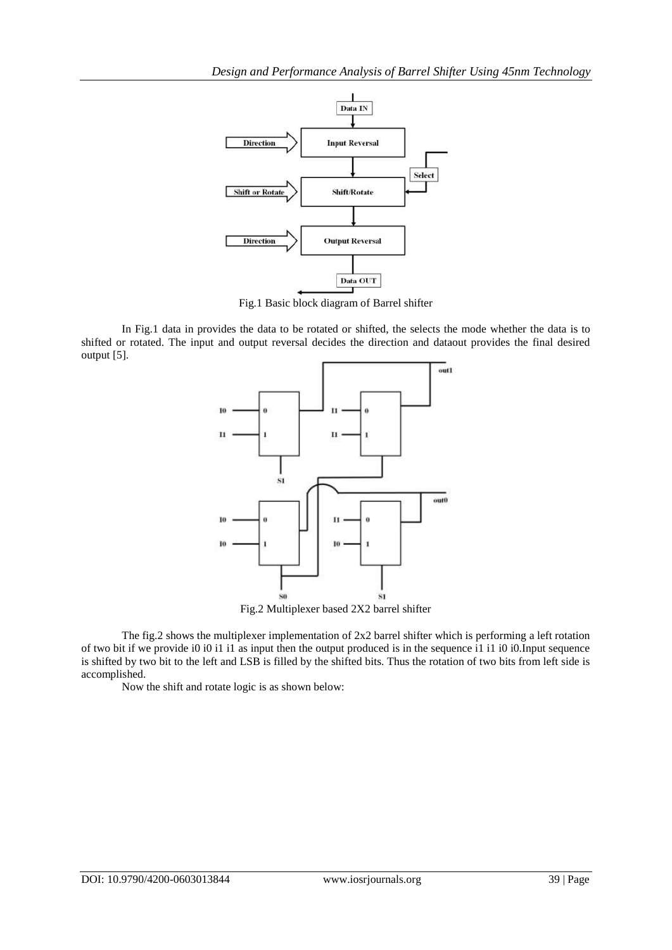

Fig.1 Basic block diagram of Barrel shifter

In Fig.1 data in provides the data to be rotated or shifted, the selects the mode whether the data is to shifted or rotated. The input and output reversal decides the direction and dataout provides the final desired output [5].



Fig.2 Multiplexer based 2X2 barrel shifter

The fig.2 shows the multiplexer implementation of 2x2 barrel shifter which is performing a left rotation of two bit if we provide i0 i0 i1 i1 as input then the output produced is in the sequence i1 i1 i0 i0.Input sequence is shifted by two bit to the left and LSB is filled by the shifted bits. Thus the rotation of two bits from left side is accomplished.

Now the shift and rotate logic is as shown below: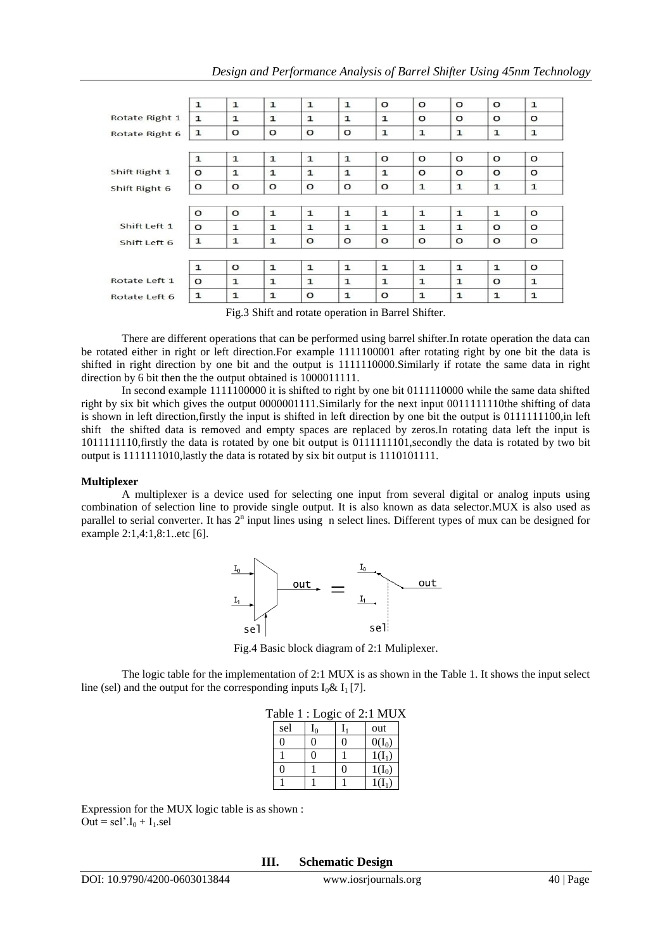|                | $\mathbf{1}$ | $\mathbf{1}$ | $\mathbf{1}$ | $\mathbf{1}$ | $\mathbf{1}$ | $\circ$      | $\Omega$     | $\Omega$     | $\circ$      | $\mathbf{1}$ |
|----------------|--------------|--------------|--------------|--------------|--------------|--------------|--------------|--------------|--------------|--------------|
| Rotate Right 1 | $\mathbf{1}$ | $\mathbf{1}$ | $\mathbf{1}$ | $\mathbf{1}$ | $\mathbf{1}$ | $\mathbf{1}$ | $\circ$      | $\circ$      | $\circ$      | $\circ$      |
| Rotate Right 6 | $\mathbf{1}$ | $\circ$      | $\circ$      | $\circ$      | $\Omega$     | $\mathbf{1}$ | $\mathbf{1}$ | $\mathbf{1}$ | $\mathbf 1$  | $\mathbf{1}$ |
|                |              |              |              |              |              |              |              |              |              |              |
|                | $\mathbf{1}$ | $\mathbf{1}$ | $\mathbf{1}$ | $\mathbf{1}$ | $\mathbf{1}$ | $\circ$      | $\circ$      | $\circ$      | $\circ$      | $\circ$      |
| Shift Right 1  | $\circ$      | $\mathbf{1}$ | $\mathbf{1}$ | $\mathbf{1}$ | $\mathbf{1}$ | 1            | $\circ$      | $\circ$      | $\circ$      | $\circ$      |
| Shift Right 6  | $\circ$      | $\circ$      | $\circ$      | $\circ$      | o            | $\circ$      | $\mathbf{1}$ | $\mathbf{1}$ | $\mathbf{1}$ | $\mathbf{1}$ |
|                |              |              |              |              |              |              |              |              |              |              |
|                | $\circ$      | $\circ$      | $\mathbf{1}$ | $\mathbf{1}$ | $\mathbf{1}$ | $\mathbf{1}$ | $\mathbf{1}$ | $\mathbf{1}$ | $\mathbf{1}$ | $\circ$      |
| Shift Left 1   | $\circ$      | $\mathbf{1}$ | $\mathbf{1}$ | $\mathbf{1}$ | $\mathbf{1}$ | $\mathbf{1}$ | $\mathbf{1}$ | $\mathbf{1}$ | $\circ$      | $\circ$      |
| Shift Left 6   | $\mathbf{1}$ | $\mathbf{1}$ | $\mathbf 1$  | $\circ$      | $\circ$      | $\circ$      | $\circ$      | $\circ$      | $\circ$      | $\circ$      |
|                |              |              |              |              |              |              |              |              |              |              |
|                | $\mathbf{1}$ | $\circ$      | $\mathbf{1}$ | $\mathbf{1}$ | $\mathbf{1}$ | $\mathbf{1}$ | $\mathbf{1}$ | $\mathbf{1}$ | $\mathbf{1}$ | $\circ$      |
| Rotate Left 1  | $\circ$      | $\mathbf{1}$ | $\mathbf{1}$ | $\mathbf{1}$ | $\mathbf{1}$ | $\mathbf{1}$ | $\mathbf{1}$ | $\mathbf{1}$ | $\circ$      | $\mathbf{1}$ |
| Rotate Left 6  | $\mathbf{1}$ | $\mathbf{1}$ | $\mathbf{1}$ | $\circ$      | 1            | $\circ$      | $\mathbf{1}$ | $\mathbf{1}$ | $\mathbf{1}$ | $\mathbf{1}$ |
|                |              |              |              |              |              |              |              |              |              |              |

Fig.3 Shift and rotate operation in Barrel Shifter.

There are different operations that can be performed using barrel shifter.In rotate operation the data can be rotated either in right or left direction.For example 1111100001 after rotating right by one bit the data is shifted in right direction by one bit and the output is 1111110000.Similarly if rotate the same data in right direction by 6 bit then the the output obtained is 1000011111.

In second example 1111100000 it is shifted to right by one bit 0111110000 while the same data shifted right by six bit which gives the output 0000001111.Similarly for the next input 0011111110the shifting of data is shown in left direction,firstly the input is shifted in left direction by one bit the output is 0111111100,in left shift the shifted data is removed and empty spaces are replaced by zeros.In rotating data left the input is 1011111110,firstly the data is rotated by one bit output is 0111111101,secondly the data is rotated by two bit output is 1111111010,lastly the data is rotated by six bit output is 1110101111.

#### **Multiplexer**

A multiplexer is a device used for selecting one input from several digital or analog inputs using combination of selection line to provide single output. It is also known as data selector.MUX is also used as parallel to serial converter. It has  $2^n$  input lines using n select lines. Different types of mux can be designed for example 2:1,4:1,8:1..etc [6].



Fig.4 Basic block diagram of 2:1 Muliplexer.

The logic table for the implementation of 2:1 MUX is as shown in the Table 1. It shows the input select line (sel) and the output for the corresponding inputs  $I_0 \& I_1 [7]$ .

| Table 1 : Logic of 2:1 MUX |  |   |          |  |  |
|----------------------------|--|---|----------|--|--|
| sel                        |  |   | out      |  |  |
|                            |  |   | $O(I_0)$ |  |  |
|                            |  |   | $1(I_1)$ |  |  |
|                            |  | 0 | $1(I_0)$ |  |  |
|                            |  |   |          |  |  |

Expression for the MUX logic table is as shown :  $\overrightarrow{Out}$  = sel'. $I_0 + I_1$ .sel

#### **III. Schematic Design**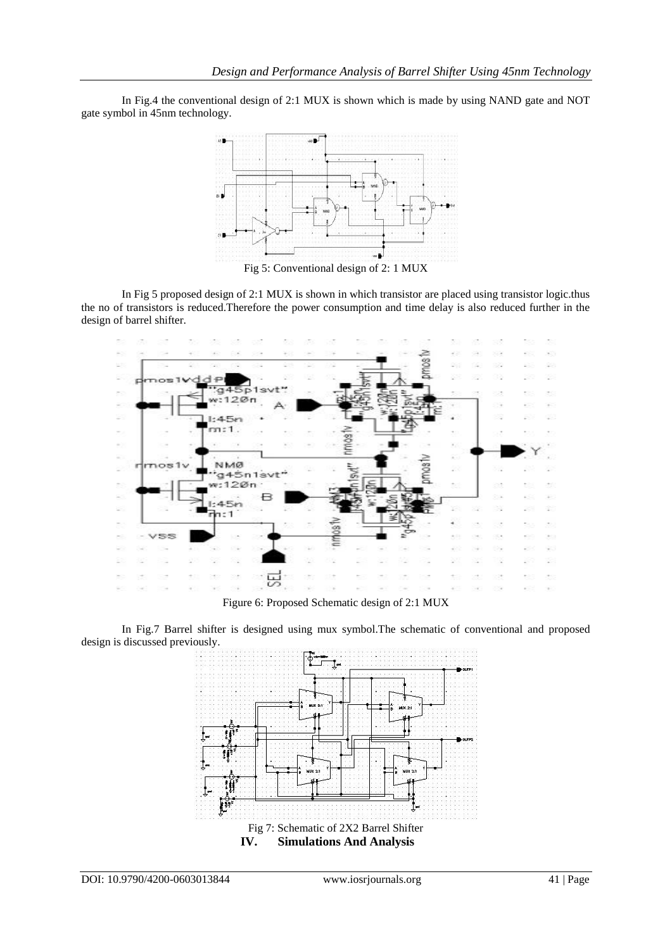In Fig.4 the conventional design of 2:1 MUX is shown which is made by using NAND gate and NOT gate symbol in 45nm technology.



Fig 5: Conventional design of 2: 1 MUX

In Fig 5 proposed design of 2:1 MUX is shown in which transistor are placed using transistor logic.thus the no of transistors is reduced.Therefore the power consumption and time delay is also reduced further in the design of barrel shifter.



Figure 6: Proposed Schematic design of 2:1 MUX

In Fig.7 Barrel shifter is designed using mux symbol.The schematic of conventional and proposed design is discussed previously.

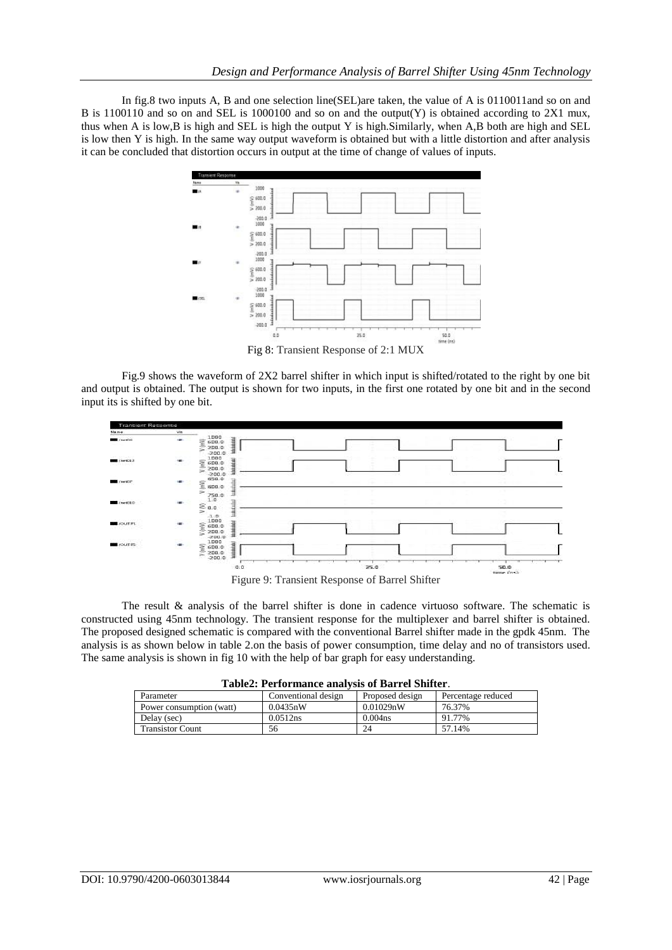In fig.8 two inputs A, B and one selection line(SEL)are taken, the value of A is 0110011and so on and B is 1100110 and so on and SEL is 1000100 and so on and the output(Y) is obtained according to 2X1 mux, thus when A is low,B is high and SEL is high the output Y is high.Similarly, when A,B both are high and SEL is low then Y is high. In the same way output waveform is obtained but with a little distortion and after analysis it can be concluded that distortion occurs in output at the time of change of values of inputs.



Fig.9 shows the waveform of 2X2 barrel shifter in which input is shifted/rotated to the right by one bit and output is obtained. The output is shown for two inputs, in the first one rotated by one bit and in the second input its is shifted by one bit.



Figure 9: Transient Response of Barrel Shifter

The result & analysis of the barrel shifter is done in cadence virtuoso software. The schematic is constructed using 45nm technology. The transient response for the multiplexer and barrel shifter is obtained. The proposed designed schematic is compared with the conventional Barrel shifter made in the gpdk 45nm. The analysis is as shown below in table 2.on the basis of power consumption, time delay and no of transistors used. The same analysis is shown in fig 10 with the help of bar graph for easy understanding.

|  | Table2: Performance analysis of Barrel Shifter. |  |  |  |
|--|-------------------------------------------------|--|--|--|
|--|-------------------------------------------------|--|--|--|

| TUDIVAL TUTTULININGU UNUNI DID OL IJULI VI DINITUJI. |                     |                     |                    |  |  |  |
|------------------------------------------------------|---------------------|---------------------|--------------------|--|--|--|
| Parameter                                            | Conventional design | Proposed design     | Percentage reduced |  |  |  |
| Power consumption (watt)                             | 0.0435nW            | 0.01029nW           | 76.37%             |  |  |  |
| Delay (sec)                                          | 0.0512ns            | 0.004 <sub>ns</sub> | 91.77%             |  |  |  |
| <b>Transistor Count</b>                              | 56                  | 24                  | 57.14%             |  |  |  |
|                                                      |                     |                     |                    |  |  |  |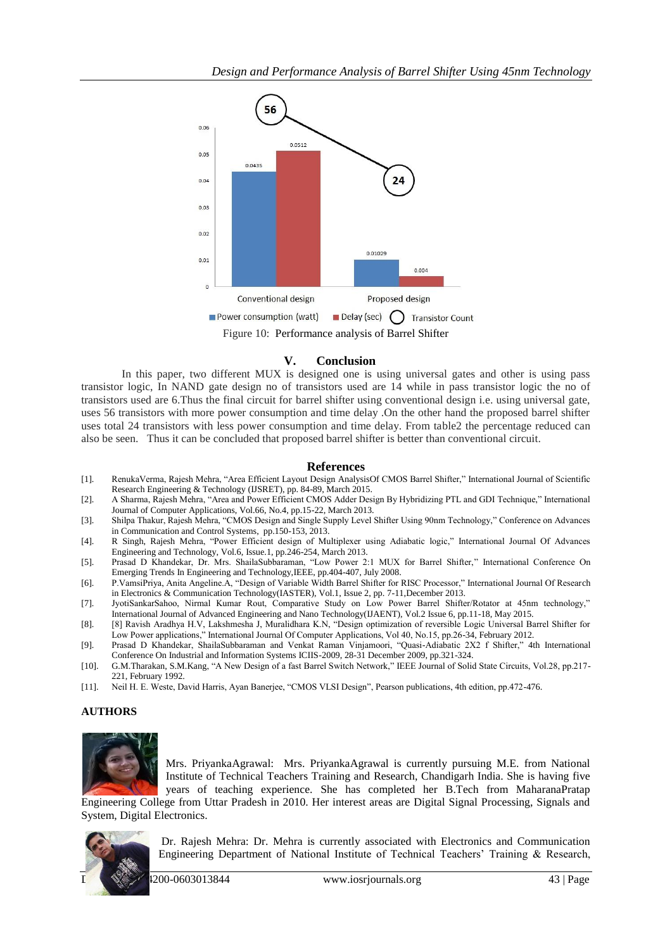

# **V. Conclusion**

In this paper, two different MUX is designed one is using universal gates and other is using pass transistor logic, In NAND gate design no of transistors used are 14 while in pass transistor logic the no of transistors used are 6.Thus the final circuit for barrel shifter using conventional design i.e. using universal gate, uses 56 transistors with more power consumption and time delay .On the other hand the proposed barrel shifter uses total 24 transistors with less power consumption and time delay. From table2 the percentage reduced can also be seen. Thus it can be concluded that proposed barrel shifter is better than conventional circuit.

#### **References**

- [1]. RenukaVerma, Rajesh Mehra, "Area Efficient Layout Design AnalysisOf CMOS Barrel Shifter," International Journal of Scientific Research Engineering & Technology (IJSRET), pp. 84-89, March 2015.
- [2]. A Sharma, Rajesh Mehra, "Area and Power Efficient CMOS Adder Design By Hybridizing PTL and GDI Technique," International Journal of Computer Applications, Vol.66, No.4, pp.15-22, March 2013.
- [3]. Shilpa Thakur, Rajesh Mehra, "CMOS Design and Single Supply Level Shifter Using 90nm Technology," Conference on Advances in Communication and Control Systems, pp.150-153, 2013.
- [4]. R Singh, Rajesh Mehra, "Power Efficient design of Multiplexer using Adiabatic logic," International Journal Of Advances Engineering and Technology, Vol.6, Issue.1, pp.246-254, March 2013.
- [5]. Prasad D Khandekar, Dr. Mrs. ShailaSubbaraman, "Low Power 2:1 MUX for Barrel Shifter," International Conference On Emerging Trends In Engineering and Technology,IEEE, pp.404-407, July 2008.
- [6]. P.VamsiPriya, Anita Angeline.A, "Design of Variable Width Barrel Shifter for RISC Processor," International Journal Of Research in Electronics & Communication Technology(IASTER), Vol.1, Issue 2, pp. 7-11,December 2013.
- [7]. JyotiSankarSahoo, Nirmal Kumar Rout, Comparative Study on Low Power Barrel Shifter/Rotator at 45nm technology," International Journal of Advanced Engineering and Nano Technology(IJAENT), Vol.2 Issue 6, pp.11-18, May 2015.
- [8]. [8] Ravish Aradhya H.V, Lakshmesha J, Muralidhara K.N, "Design optimization of reversible Logic Universal Barrel Shifter for Low Power applications," International Journal Of Computer Applications, Vol 40, No.15, pp.26-34, February 2012.
- [9]. Prasad D Khandekar, ShailaSubbaraman and Venkat Raman Vinjamoori, "Quasi-Adiabatic 2X2 f Shifter," 4th International Conference On Industrial and Information Systems ICIIS-2009, 28-31 December 2009, pp.321-324.
- [10]. G.M.Tharakan, S.M.Kang, "A New Design of a fast Barrel Switch Network," IEEE Journal of Solid State Circuits, Vol.28, pp.217- 221, February 1992.
- [11]. Neil H. E. Weste, David Harris, Ayan Banerjee, "CMOS VLSI Design", Pearson publications, 4th edition, pp.472-476.

## **AUTHORS**



Mrs. PriyankaAgrawal: Mrs. PriyankaAgrawal is currently pursuing M.E. from National Institute of Technical Teachers Training and Research, Chandigarh India. She is having five years of teaching experience. She has completed her B.Tech from MaharanaPratap Engineering College from Uttar Pradesh in 2010. Her interest areas are Digital Signal Processing, Signals and

System, Digital Electronics.



Dr. Rajesh Mehra: Dr. Mehra is currently associated with Electronics and Communication Engineering Department of National Institute of Technical Teachers' Training & Research,